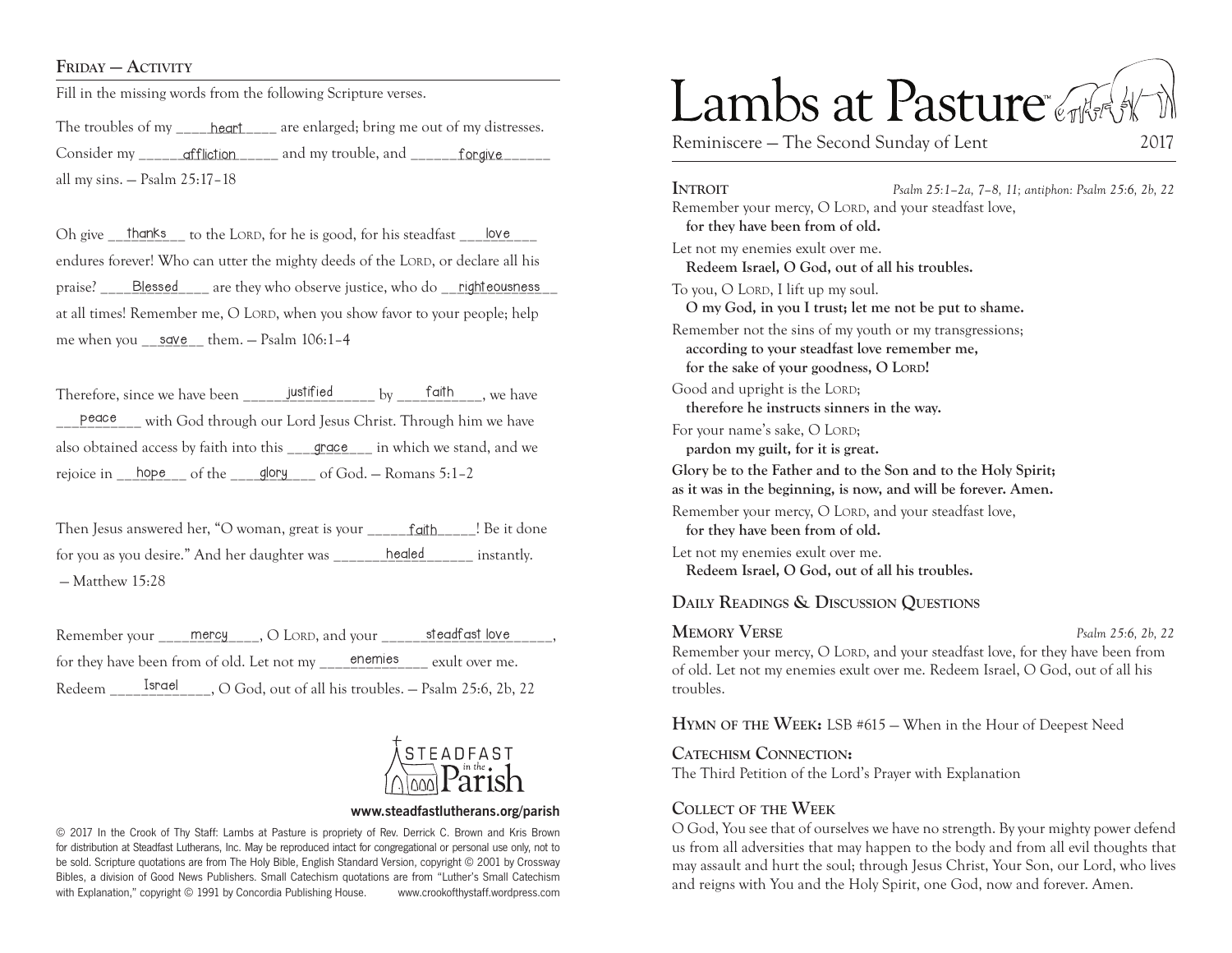#### FRIDAY — ACTIVITY

Fill in the missing words from the following Scripture verses.

The troubles of my \_\_\_\_\_\_\_ heart\_\_\_\_\_\_\_ are enlarged; bring me out of my distresses. Consider my \_\_\_\_\_\_\_\_\_ <del>qffliction</del> \_\_\_\_\_\_\_\_\_ and my trouble, and \_\_\_\_\_\_\_\_forgive \_\_\_\_\_\_ all my sins. — Psalm 25:17–18

Oh give \_thanks \_to the LORD, for he is good, for his steadfast \_tove \_to endures forever! Who can utter the mighty deeds of the LORD, or declare all his praise? \_\_\_\_\_\_Blessed\_\_\_\_\_\_ are they who observe justice, who do \_\_\_righteousness\_\_\_ at all times! Remember me, O LORD, when you show favor to your people; help me when you <u>\_\_sqve \_</u>\_ them. — Psalm 106:1-4 Blessed

Therefore, since we have been \_\_\_\_\_\_\_\_\_\_\_\_\_\_\_\_\_ by \_\_\_\_\_\_\_\_\_\_\_, we have faith justified with God through our Lord Jesus Christ. Through him we have also obtained access by faith into this \_\_\_\_grace\_\_\_ in which we stand, and we rejoice in  $\frac{\text{hope}}{\text{rho}}$  of the  $\frac{\text{glopy}}{\text{glopy}}$  of God. – Romans 5:1–2 peace

Then Jesus answered her, "O woman, great is your \_\_\_\_\_\_\_faith\_\_\_\_\_! Be it done for you as you desire." And her daughter was \_\_\_\_\_\_\_\_healed\_\_\_\_\_\_\_ instantly.  $-M$ atthew 15 $\cdot$ 28

Remember your \_\_\_\_\_\_ mercy \_\_\_\_, O Lord, and your \_\_\_\_\_\_\_\_\_\_\_\_\_\_\_\_\_\_\_\_\_\_\_\_\_\_\_\_\_\_, for they have been from of old. Let not my enemies exult over me. Redeem \_\_\_\_\_\_\_\_\_\_\_\_\_\_, O God, out of all his troubles. - Psalm 25:6, 2b, 22 enemies



#### **www.steadfastlutherans.org/parish**

© 2017 In the Crook of Thy Staff: Lambs at Pasture is propriety of Rev. Derrick C. Brown and Kris Brown for distribution at Steadfast Lutherans, Inc. May be reproduced intact for congregational or personal use only, not to be sold. Scripture quotations are from The Holy Bible, English Standard Version, copyright © 2001 by Crossway Bibles, a division of Good News Publishers. Small Catechism quotations are from "Luther's Small Catechism with Explanation," copyright © 1991 by Concordia Publishing House. www.crookofthystaff.wordpress.com

# Lambs at Pasture

Reminiscere – The Second Sunday of Lent 2017

**Introit** *Psalm 25:1–2a, 7–8, 11; antiphon: Psalm 25:6, 2b, 22* Remember your mercy, O LORD, and your steadfast love, **for they have been from of old.**  Let not my enemies exult over me. **Redeem Israel, O God, out of all his troubles.**  To you, O LORD, I lift up my soul. **O my God, in you I trust; let me not be put to shame.**  Remember not the sins of my youth or my transgressions; **according to your steadfast love remember me,**  for the sake of your goodness, O LORD! Good and upright is the LORD; **therefore he instructs sinners in the way.**  For your name's sake, O LORD; **pardon my guilt, for it is great. Glory be to the Father and to the Son and to the Holy Spirit; as it was in the beginning, is now, and will be forever. Amen.** Remember your mercy, O LORD, and your steadfast love, **for they have been from of old.**  Let not my enemies exult over me. **Redeem Israel, O God, out of all his troubles. Daily Readings & Discussion Questions**

**Memory Verse** *Psalm 25:6, 2b, 22* Remember your mercy, O LORD, and your steadfast love, for they have been from of old. Let not my enemies exult over me. Redeem Israel, O God, out of all his troubles.

**Hymn of the Week:** LSB #615 — When in the Hour of Deepest Need

**Catechism Connection:** The Third Petition of the Lord's Prayer with Explanation

#### **Collect of the Week**

O God, You see that of ourselves we have no strength. By your mighty power defend us from all adversities that may happen to the body and from all evil thoughts that may assault and hurt the soul; through Jesus Christ, Your Son, our Lord, who lives and reigns with You and the Holy Spirit, one God, now and forever. Amen.